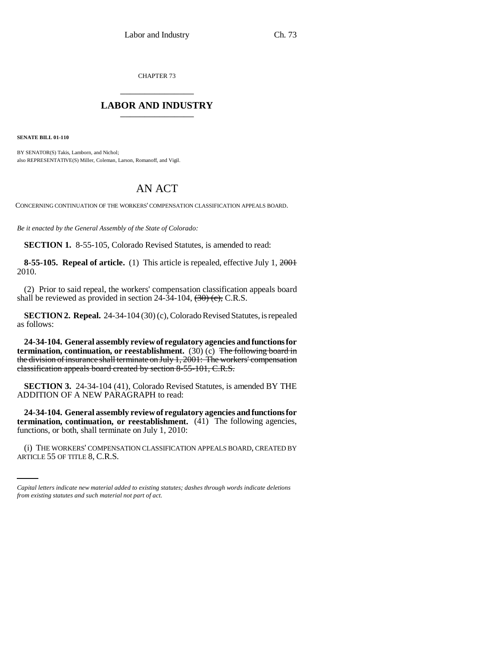CHAPTER 73 \_\_\_\_\_\_\_\_\_\_\_\_\_\_\_

## **LABOR AND INDUSTRY** \_\_\_\_\_\_\_\_\_\_\_\_\_\_\_

**SENATE BILL 01-110**

BY SENATOR(S) Takis, Lamborn, and Nichol; also REPRESENTATIVE(S) Miller, Coleman, Larson, Romanoff, and Vigil.

## AN ACT

CONCERNING CONTINUATION OF THE WORKERS' COMPENSATION CLASSIFICATION APPEALS BOARD.

*Be it enacted by the General Assembly of the State of Colorado:*

**SECTION 1.** 8-55-105, Colorado Revised Statutes, is amended to read:

**8-55-105. Repeal of article.** (1) This article is repealed, effective July 1, 2001 2010.

(2) Prior to said repeal, the workers' compensation classification appeals board shall be reviewed as provided in section 24-34-104,  $\left(30\right)$  (c), C.R.S.

**SECTION 2. Repeal.** 24-34-104 (30) (c), Colorado Revised Statutes, is repealed as follows:

**24-34-104. General assembly review of regulatory agencies and functions for termination, continuation, or reestablishment.** (30) (c) <del>The following board in</del> the division of insurance shall terminate on July 1, 2001: The workers' compensation classification appeals board created by section 8-55-101, C.R.S.

**SECTION 3.** 24-34-104 (41), Colorado Revised Statutes, is amended BY THE ADDITION OF A NEW PARAGRAPH to read:

functions, or both, shall terminate on July 1, 2010: **24-34-104. General assembly review of regulatory agencies and functions for termination, continuation, or reestablishment.** (41) The following agencies,

(i) THE WORKERS' COMPENSATION CLASSIFICATION APPEALS BOARD, CREATED BY ARTICLE 55 OF TITLE 8, C.R.S.

*Capital letters indicate new material added to existing statutes; dashes through words indicate deletions from existing statutes and such material not part of act.*